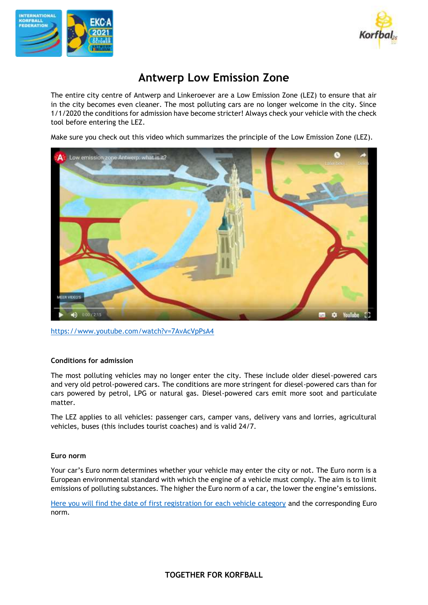



# **Antwerp Low Emission Zone**

The entire city centre of Antwerp and Linkeroever are a Low Emission Zone (LEZ) to ensure that air in the city becomes even cleaner. The most polluting cars are no longer welcome in the city. Since 1/1/2020 the conditions for admission have become stricter! Always check your vehicle with the check tool before entering the LEZ.

Make sure you check out this video which summarizes the principle of the Low Emission Zone (LEZ).



<https://www.youtube.com/watch?v=7AvAcVpPsA4>

# **Conditions for admission**

The most polluting vehicles may no longer enter the city. These include older diesel-powered cars and very old petrol-powered cars. The conditions are more stringent for diesel-powered cars than for cars powered by petrol, LPG or natural gas. Diesel-powered cars emit more soot and particulate matter.

The LEZ applies to all vehicles: passenger cars, camper vans, delivery vans and lorries, agricultural vehicles, buses (this includes tourist coaches) and is valid 24/7.

# **Euro norm**

Your car's Euro norm determines whether your vehicle may enter the city or not. The Euro norm is a European environmental standard with which the engine of a vehicle must comply. The aim is to limit emissions of polluting substances. The higher the Euro norm of a car, the lower the engine's emissions.

[Here you will find the date of first registration for each vehicle category](https://drive.google.com/file/d/0B19vkT3KFRsMajZiMGV4NTFoRG8/view) and the corresponding Euro norm.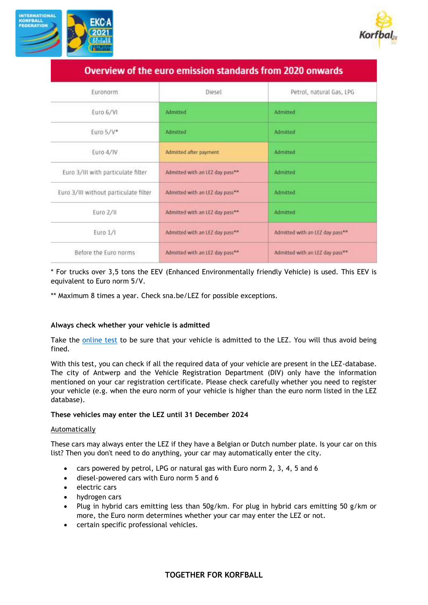



| <u>UVCI VICW OF LIIC CUID CHIISSION SLUINUIUS HOIN EULO ONWULUS</u> |                                             |                                 |
|---------------------------------------------------------------------|---------------------------------------------|---------------------------------|
| Euronorm.                                                           | Diesel                                      | Petrol, natural Gas, LPG        |
| Euro 6/VI                                                           | Admitted                                    | Admitted                        |
| Euro 5/V*                                                           | Admitted                                    | Admitted                        |
| Euro 4/IV                                                           | Admitted after payment                      | Admitted                        |
| Euro 3/III with particulate filter                                  | Admitted with an LEZ day pass**             | <b>Admitted</b>                 |
| Euro 3/III without particulate filter                               | Admitted with an LEZ day pass <sup>**</sup> | Admitted                        |
| Euro 2/II                                                           | Admitted with an LEZ day pass**             | Admitted                        |
| Euro 1/1                                                            | Admitted with an LEZ day pass**             | Admitted with an LEZ day pass** |
| Before the Euro norms                                               | Admitted with an LEZ day pass**             | Admitted with an LEZ day pass** |

Querview of the euro emission standards from 2020 onwards

# \* For trucks over 3,5 tons the EEV (Enhanced Environmentally friendly Vehicle) is used. This EEV is equivalent to Euro norm 5/V.

\*\* Maximum 8 times a year. Check sna.be/LEZ for possible exceptions.

# **Always check whether your vehicle is admitted**

Take the [online test](https://lez.antwerpen.be/?Taal=EN) to be sure that your vehicle is admitted to the LEZ. You will thus avoid being fined.

With this test, you can check if all the required data of your vehicle are present in the LEZ-database. The city of Antwerp and the Vehicle Registration Department (DIV) only have the information mentioned on your car registration certificate. Please check carefully whether you need to register your vehicle (e.g. when the euro norm of your vehicle is higher than the euro norm listed in the LEZ database).

# **These vehicles may enter the LEZ until 31 December 2024**

#### Automatically

These cars may always enter the LEZ if they have a Belgian or Dutch number plate. Is your car on this list? Then you don't need to do anything, your car may automatically enter the city.

- cars powered by petrol, LPG or natural gas with Euro norm 2, 3, 4, 5 and 6
- diesel-powered cars with Euro norm 5 and 6
- electric cars
- hydrogen cars
- Plug in hybrid cars emitting less than 50g/km. For plug in hybrid cars emitting 50 g/km or more, the Euro norm determines whether your car may enter the LEZ or not.
- certain specific professional vehicles.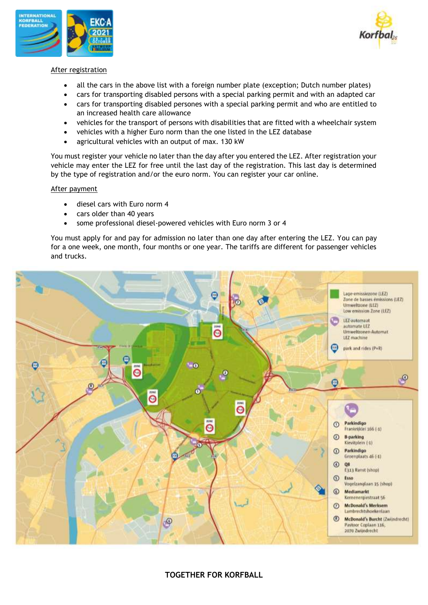



### After registration

- all the cars in the above list with a foreign number plate (exception; Dutch number plates)
- cars for transporting disabled persons with a special parking permit and with an adapted car
- cars for transporting disabled persones with a special parking permit and who are entitled to an increased health care allowance
- vehicles for the transport of persons with disabilities that are fitted with a wheelchair system
- vehicles with a higher Euro norm than the one listed in the LEZ database
- agricultural vehicles with an output of max. 130 kW

You must register your vehicle no later than the day after you entered the LEZ. After registration your vehicle may enter the LEZ for free until the last day of the registration. This last day is determined by the type of registration and/or the euro norm. You can register your car online.

#### After payment

- diesel cars with Euro norm 4
- cars older than 40 years
- some professional diesel-powered vehicles with Euro norm 3 or 4

You must apply for and pay for admission no later than one day after entering the LEZ. You can pay for a one week, one month, four months or one year. The tariffs are different for passenger vehicles and trucks.